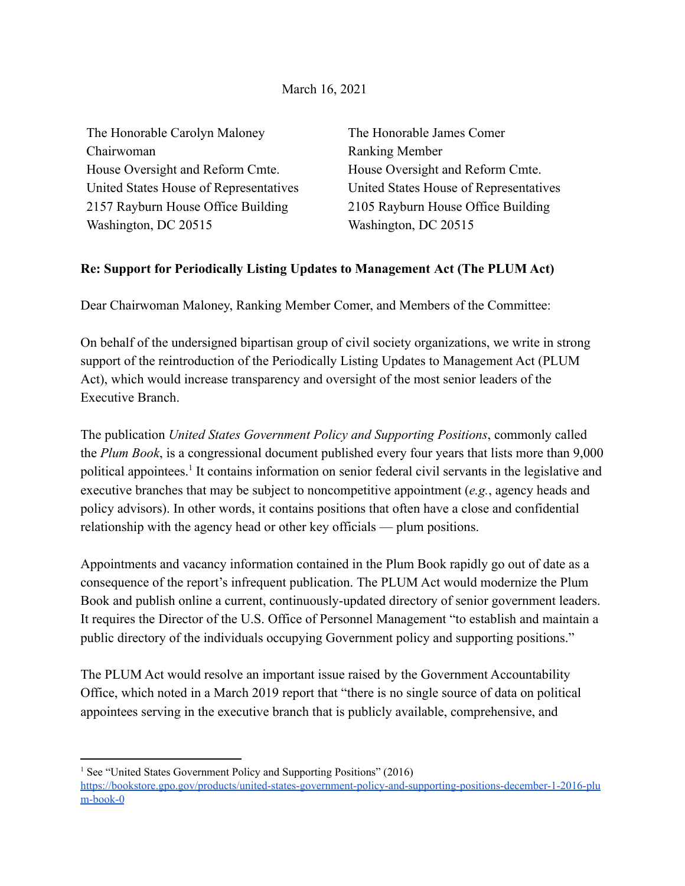## March 16, 2021

| The Honorable Carolyn Maloney          | The Honorable James Comer              |
|----------------------------------------|----------------------------------------|
| Chairwoman                             | <b>Ranking Member</b>                  |
| House Oversight and Reform Cmte.       | House Oversight and Reform Cmte.       |
| United States House of Representatives | United States House of Representatives |
| 2157 Rayburn House Office Building     | 2105 Rayburn House Office Building     |
| Washington, DC 20515                   | Washington, DC 20515                   |

## **Re: Support for Periodically Listing Updates to Management Act (The PLUM Act)**

Dear Chairwoman Maloney, Ranking Member Comer, and Members of the Committee:

On behalf of the undersigned bipartisan group of civil society organizations, we write in strong support of the reintroduction of the Periodically Listing Updates to Management Act (PLUM Act), which would increase transparency and oversight of the most senior leaders of the Executive Branch.

The publication *United States Government Policy and Supporting Positions*, commonly called the *Plum Book*, is a congressional document published every four years that lists more than 9,000 political appointees.<sup>1</sup> It contains information on senior federal civil servants in the legislative and executive branches that may be subject to noncompetitive appointment (*e.g.*, agency heads and policy advisors). In other words, it contains positions that often have a close and confidential relationship with the agency head or other key officials — plum positions.

Appointments and vacancy information contained in the Plum Book rapidly go out of date as a consequence of the report's infrequent publication. The PLUM Act would modernize the Plum Book and publish online a current, continuously-updated directory of senior government leaders. It requires the Director of the U.S. Office of Personnel Management "to establish and maintain a public directory of the individuals occupying Government policy and supporting positions."

The PLUM Act would resolve an important issue raised by the Government Accountability Office, which noted in a March 2019 report that "there is no single source of data on political appointees serving in the executive branch that is publicly available, comprehensive, and

<sup>&</sup>lt;sup>1</sup> See "United States Government Policy and Supporting Positions" (2016) [https://bookstore.gpo.gov/products/united-states-government-policy-and-supporting-positions-december-1-2016-plu](https://bookstore.gpo.gov/products/united-states-government-policy-and-supporting-positions-december-1-2016-plum-book-0) [m-book-0](https://bookstore.gpo.gov/products/united-states-government-policy-and-supporting-positions-december-1-2016-plum-book-0)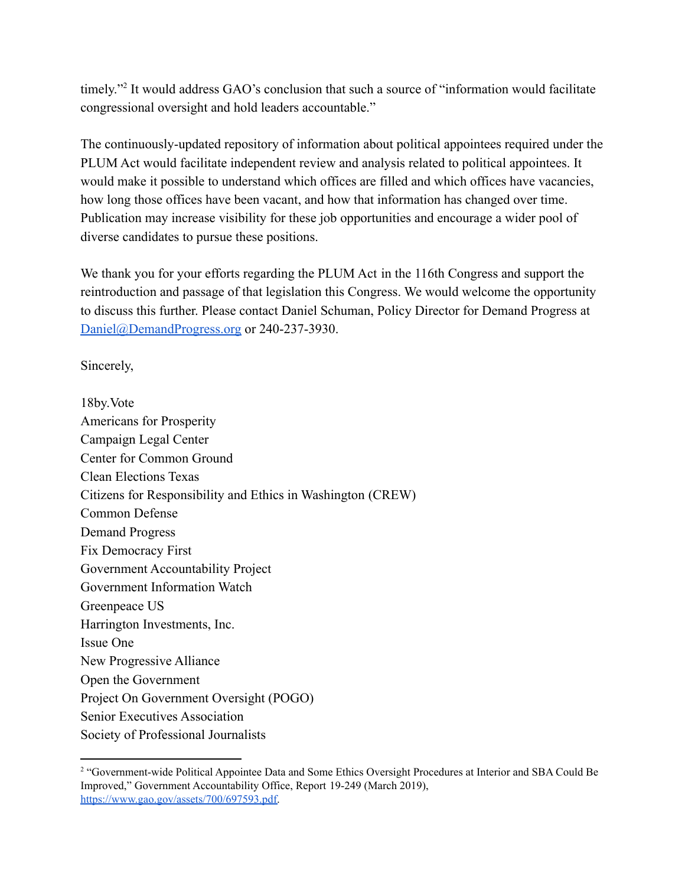timely."<sup>2</sup> It would address GAO's conclusion that such a source of "information would facilitate" congressional oversight and hold leaders accountable."

The continuously-updated repository of information about political appointees required under the PLUM Act would facilitate independent review and analysis related to political appointees. It would make it possible to understand which offices are filled and which offices have vacancies, how long those offices have been vacant, and how that information has changed over time. Publication may increase visibility for these job opportunities and encourage a wider pool of diverse candidates to pursue these positions.

We thank you for your efforts regarding the PLUM Act in the 116th Congress and support the reintroduction and passage of that legislation this Congress. We would welcome the opportunity to discuss this further. Please contact Daniel Schuman, Policy Director for Demand Progress at [Daniel@DemandProgress.org](mailto:Daniel@DemandProgress.org) or 240-237-3930.

Sincerely,

18by.Vote Americans for Prosperity Campaign Legal Center Center for Common Ground Clean Elections Texas Citizens for Responsibility and Ethics in Washington (CREW) Common Defense Demand Progress Fix Democracy First Government Accountability Project Government Information Watch Greenpeace US Harrington Investments, Inc. Issue One New Progressive Alliance Open the Government Project On Government Oversight (POGO) Senior Executives Association Society of Professional Journalists

<sup>&</sup>lt;sup>2</sup> "Government-wide Political Appointee Data and Some Ethics Oversight Procedures at Interior and SBA Could Be Improved," Government Accountability Office, Report 19-249 (March 2019), [https://www.gao.gov/assets/700/697593.pdf.](https://www.gao.gov/assets/700/697593.pdf)